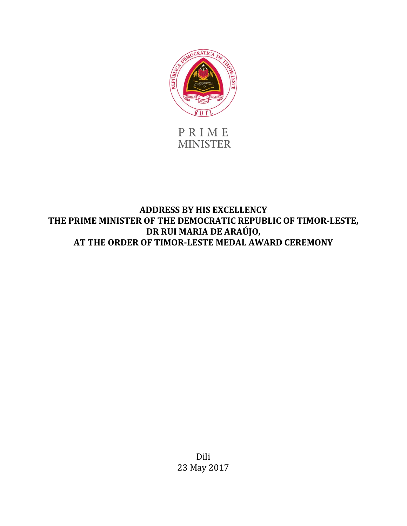

PRIME **MINISTER** 

**ADDRESS BY HIS EXCELLENCY THE PRIME MINISTER OF THE DEMOCRATIC REPUBLIC OF TIMOR-LESTE, DR RUI MARIA DE ARAÚJO, AT THE ORDER OF TIMOR-LESTE MEDAL AWARD CEREMONY**

> Dili 23 May 2017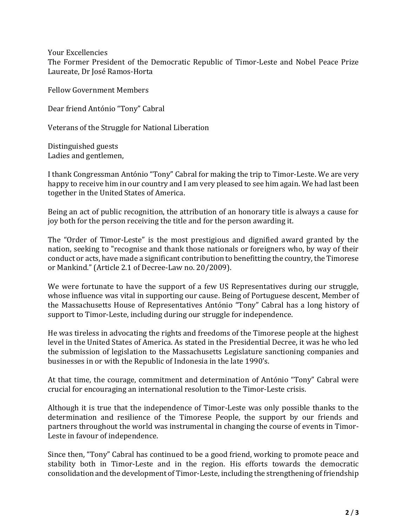Your Excellencies

The Former President of the Democratic Republic of Timor-Leste and Nobel Peace Prize Laureate, Dr José Ramos-Horta

Fellow Government Members

Dear friend António "Tony" Cabral

Veterans of the Struggle for National Liberation

Distinguished guests Ladies and gentlemen,

I thank Congressman António "Tony" Cabral for making the trip to Timor-Leste. We are very happy to receive him in our country and I am very pleased to see him again. We had last been together in the United States of America.

Being an act of public recognition, the attribution of an honorary title is always a cause for joy both for the person receiving the title and for the person awarding it.

The "Order of Timor-Leste" is the most prestigious and dignified award granted by the nation, seeking to "recognise and thank those nationals or foreigners who, by way of their conduct or acts, have made a significant contribution to benefitting the country, the Timorese or Mankind." (Article 2.1 of Decree-Law no. 20/2009).

We were fortunate to have the support of a few US Representatives during our struggle. whose influence was vital in supporting our cause. Being of Portuguese descent, Member of the Massachusetts House of Representatives António "Tony" Cabral has a long history of support to Timor-Leste, including during our struggle for independence.

He was tireless in advocating the rights and freedoms of the Timorese people at the highest level in the United States of America. As stated in the Presidential Decree, it was he who led the submission of legislation to the Massachusetts Legislature sanctioning companies and businesses in or with the Republic of Indonesia in the late 1990's.

At that time, the courage, commitment and determination of António "Tony" Cabral were crucial for encouraging an international resolution to the Timor-Leste crisis.

Although it is true that the independence of Timor-Leste was only possible thanks to the determination and resilience of the Timorese People, the support by our friends and partners throughout the world was instrumental in changing the course of events in Timor-Leste in favour of independence.

Since then, "Tony" Cabral has continued to be a good friend, working to promote peace and stability both in Timor-Leste and in the region. His efforts towards the democratic consolidation and the development of Timor-Leste, including the strengthening of friendship